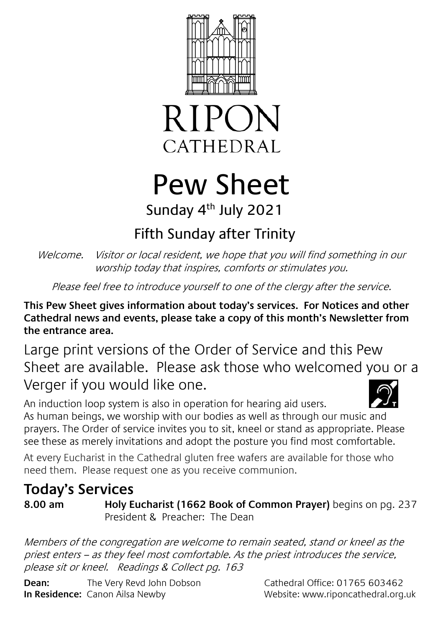



# Pew Sheet Sunday 4<sup>th</sup> July 2021

# Fifth Sunday after Trinity

Welcome. Visitor or local resident, we hope that you will find something in our worship today that inspires, comforts or stimulates you.

Please feel free to introduce yourself to one of the clergy after the service.

**This Pew Sheet gives information about today's services. For Notices and other Cathedral news and events, please take a copy of this month's Newsletter from the entrance area.** 

Large print versions of the Order of Service and this Pew Sheet are available. Please ask those who welcomed you or a Verger if you would like one.

An induction loop system is also in operation for hearing aid users. As human beings, we worship with our bodies as well as through our music and prayers. The Order of service invites you to sit, kneel or stand as appropriate. Please see these as merely invitations and adopt the posture you find most comfortable.

At every Eucharist in the Cathedral gluten free wafers are available for those who need them. Please request one as you receive communion.

# **Today's Services**

**8.00 am Holy Eucharist (1662 Book of Common Prayer)** begins on pg. 237 President & Preacher: The Dean

Members of the congregation are welcome to remain seated, stand or kneel as the priest enters – as they feel most comfortable. As the priest introduces the service, please sit or kneel. Readings & Collect pg. 163

**Dean:** The Very Revd John Dobson Cathedral Office: 01765 603462 **In Residence:** Canon Ailsa Newby Website: www.riponcathedral.org.uk